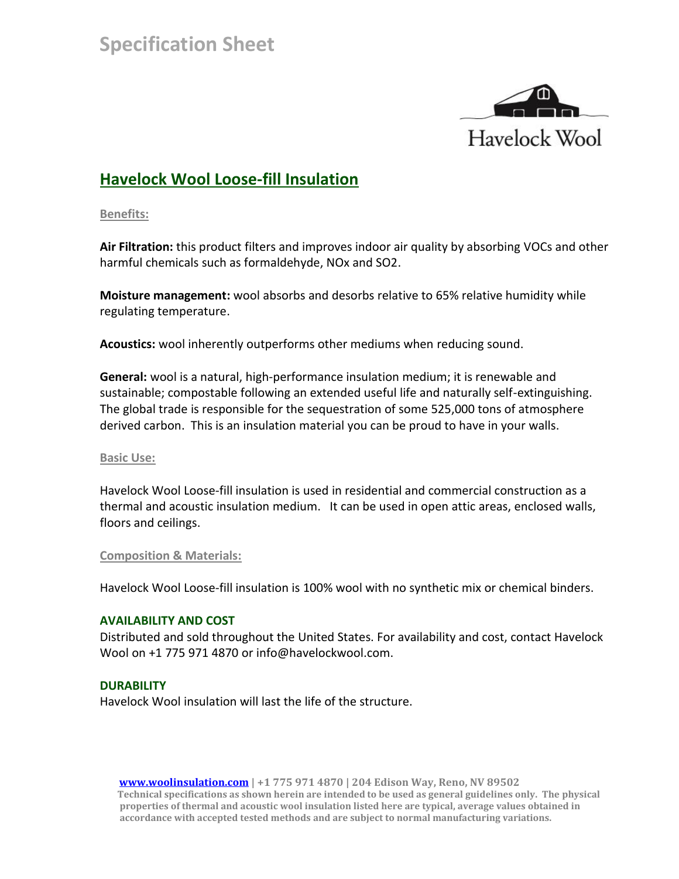

# **Havelock Wool Loose-fill Insulation**

**Benefits:**

**Air Filtration:** this product filters and improves indoor air quality by absorbing VOCs and other harmful chemicals such as formaldehyde, NOx and SO2.

**Moisture management:** wool absorbs and desorbs relative to 65% relative humidity while regulating temperature.

**Acoustics:** wool inherently outperforms other mediums when reducing sound.

**General:** wool is a natural, high-performance insulation medium; it is renewable and sustainable; compostable following an extended useful life and naturally self-extinguishing. The global trade is responsible for the sequestration of some 525,000 tons of atmosphere derived carbon. This is an insulation material you can be proud to have in your walls.

# **Basic Use:**

Havelock Wool Loose-fill insulation is used in residential and commercial construction as a thermal and acoustic insulation medium. It can be used in open attic areas, enclosed walls, floors and ceilings.

# **Composition & Materials:**

Havelock Wool Loose-fill insulation is 100% wool with no synthetic mix or chemical binders.

# **AVAILABILITY AND COST**

Distributed and sold throughout the United States. For availability and cost, contact Havelock Wool on +1 775 971 4870 or info@havelockwool.com.

# **DURABILITY**

Havelock Wool insulation will last the life of the structure.

 **[www.woolinsulation.com](http://www.woolinsulation.com/) | +1 775 971 4870 | 204 Edison Way, Reno, NV 89502 Technical specifications as shown herein are intended to be used as general guidelines only. The physical properties of thermal and acoustic wool insulation listed here are typical, average values obtained in accordance with accepted tested methods and are subject to normal manufacturing variations.**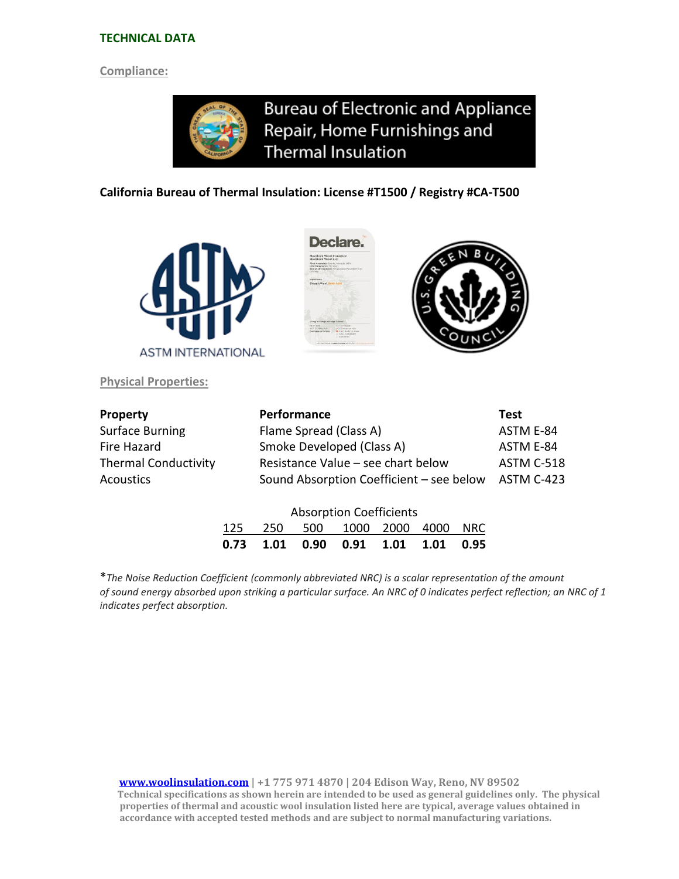#### **TECHNICAL DATA**

#### **Compliance:**

**Bureau of Electronic and Appliance** Repair, Home Furnishings and **Thermal Insulation** 

#### **California Bureau of Thermal Insulation: License #T1500 / Registry #CA-T500**



**Physical Properties:**





| <b>Property</b>             | Performance                              | <b>Test</b> |  |
|-----------------------------|------------------------------------------|-------------|--|
| <b>Surface Burning</b>      | Flame Spread (Class A)                   | ASTM E-84   |  |
| Fire Hazard                 | Smoke Developed (Class A)                | ASTM E-84   |  |
| <b>Thermal Conductivity</b> | Resistance Value – see chart below       |             |  |
| Acoustics                   | Sound Absorption Coefficient - see below | ASTM C-423  |  |
|                             |                                          |             |  |
|                             | Alexandria Car <b>Co</b> rte de la       |             |  |

| <b>Absorption Coefficients</b> |  |  |                                      |  |  |  |  |  |  |  |
|--------------------------------|--|--|--------------------------------------|--|--|--|--|--|--|--|
|                                |  |  | 125  250  500  1000  2000  4000  NRC |  |  |  |  |  |  |  |
|                                |  |  |                                      |  |  |  |  |  |  |  |

\**The Noise Reduction Coefficient (commonly abbreviated NRC) is a scalar representation of the amount of sound energy absorbed upon striking a particular surface. An NRC of 0 indicates perfect reflection; an NRC of 1 indicates perfect absorption.*

 **[www.woolinsulation.com](http://www.woolinsulation.com/) | +1 775 971 4870 | 204 Edison Way, Reno, NV 89502 Technical specifications as shown herein are intended to be used as general guidelines only. The physical properties of thermal and acoustic wool insulation listed here are typical, average values obtained in accordance with accepted tested methods and are subject to normal manufacturing variations.**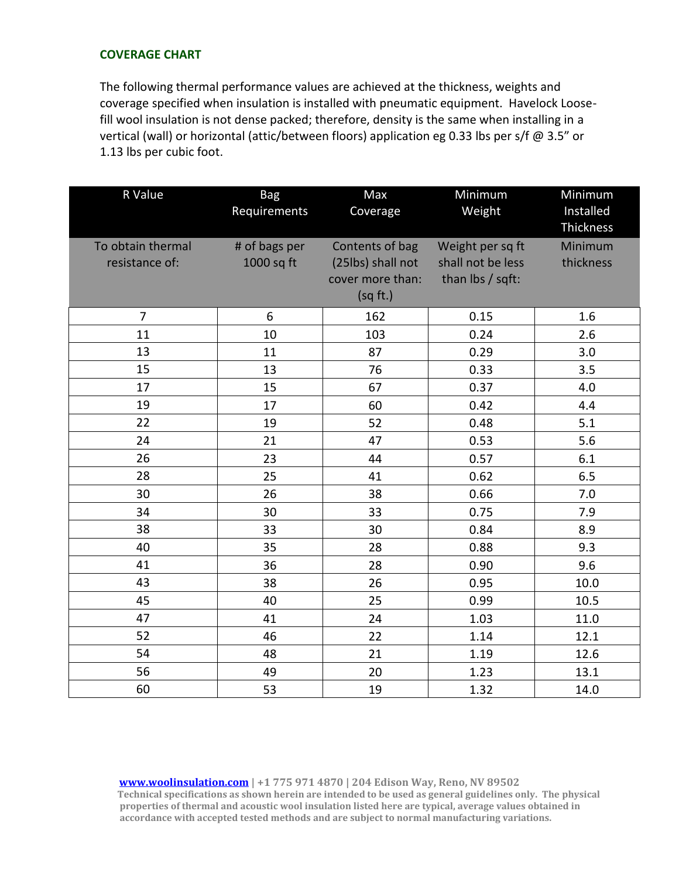### **COVERAGE CHART**

The following thermal performance values are achieved at the thickness, weights and coverage specified when insulation is installed with pneumatic equipment. Havelock Loosefill wool insulation is not dense packed; therefore, density is the same when installing in a vertical (wall) or horizontal (attic/between floors) application eg 0.33 lbs per s/f @ 3.5" or 1.13 lbs per cubic foot.

| R Value                             | <b>Bag</b><br>Requirements  | Max<br>Coverage                                                      | Minimum<br>Weight                                         | Minimum<br>Installed<br>Thickness |
|-------------------------------------|-----------------------------|----------------------------------------------------------------------|-----------------------------------------------------------|-----------------------------------|
| To obtain thermal<br>resistance of: | # of bags per<br>1000 sq ft | Contents of bag<br>(25lbs) shall not<br>cover more than:<br>(sq ft.) | Weight per sq ft<br>shall not be less<br>than lbs / sqft: | Minimum<br>thickness              |
| $\overline{7}$                      | 6                           | 162                                                                  | 0.15                                                      | 1.6                               |
| 11                                  | 10                          | 103                                                                  | 0.24                                                      | 2.6                               |
| 13                                  | 11                          | 87                                                                   | 0.29                                                      | 3.0                               |
| 15                                  | 13                          | 76                                                                   | 0.33                                                      | 3.5                               |
| 17                                  | 15                          | 67                                                                   | 0.37                                                      | 4.0                               |
| 19                                  | 17                          | 60                                                                   | 0.42                                                      | 4.4                               |
| 22                                  | 19                          | 52                                                                   | 0.48                                                      | 5.1                               |
| 24                                  | 21                          | 47                                                                   | 0.53                                                      | 5.6                               |
| 26                                  | 23                          | 44                                                                   | 0.57                                                      | 6.1                               |
| 28                                  | 25                          | 41                                                                   | 0.62                                                      | 6.5                               |
| 30                                  | 26                          | 38                                                                   | 0.66                                                      | 7.0                               |
| 34                                  | 30                          | 33                                                                   | 0.75                                                      | 7.9                               |
| 38                                  | 33                          | 30                                                                   | 0.84                                                      | 8.9                               |
| 40                                  | 35                          | 28                                                                   | 0.88                                                      | 9.3                               |
| 41                                  | 36                          | 28                                                                   | 0.90                                                      | 9.6                               |
| 43                                  | 38                          | 26                                                                   | 0.95                                                      | 10.0                              |
| 45                                  | 40                          | 25                                                                   | 0.99                                                      | 10.5                              |
| 47                                  | 41                          | 24                                                                   | 1.03                                                      | 11.0                              |
| 52                                  | 46                          | 22                                                                   | 1.14                                                      | 12.1                              |
| 54                                  | 48                          | 21                                                                   | 1.19                                                      | 12.6                              |
| 56                                  | 49                          | 20                                                                   | 1.23                                                      | 13.1                              |
| 60                                  | 53                          | 19                                                                   | 1.32                                                      | 14.0                              |

 **[www.woolinsulation.com](http://www.woolinsulation.com/) | +1 775 971 4870 | 204 Edison Way, Reno, NV 89502 Technical specifications as shown herein are intended to be used as general guidelines only. The physical properties of thermal and acoustic wool insulation listed here are typical, average values obtained in accordance with accepted tested methods and are subject to normal manufacturing variations.**